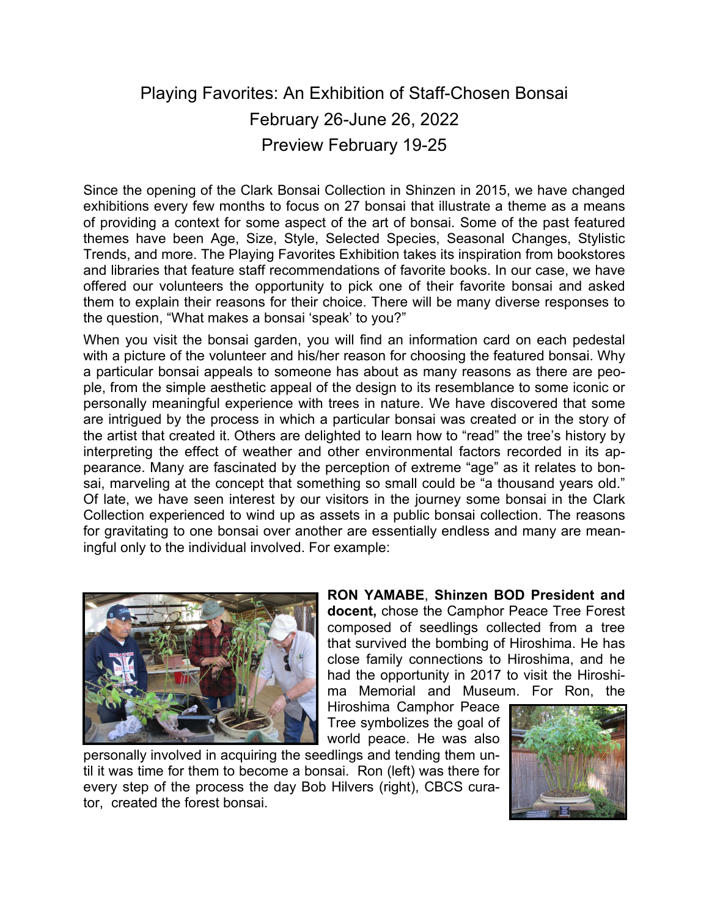# Playing Favorites: An Exhibition of Staff-Chosen Bonsai February 26-June 26, 2022 Preview February 19-25

Since the opening of the Clark Bonsai Collection in Shinzen in 2015, we have changed exhibitions every few months to focus on 27 bonsai that illustrate a theme as a means of providing a context for some aspect of the art of bonsai. Some of the past featured themes have been Age, Size, Style, Selected Species, Seasonal Changes, Stylistic Trends, and more. The Playing Favorites Exhibition takes its inspiration from bookstores and libraries that feature staff recommendations of favorite books. In our case, we have offered our volunteers the opportunity to pick one of their favorite bonsai and asked them to explain their reasons for their choice. There will be many diverse responses to the question, "What makes a bonsai 'speak' to you?"

When you visit the bonsai garden, you will find an information card on each pedestal with a picture of the volunteer and his/her reason for choosing the featured bonsai. Why a particular bonsai appeals to someone has about as many reasons as there are people, from the simple aesthetic appeal of the design to its resemblance to some iconic or personally meaningful experience with trees in nature. We have discovered that some are intrigued by the process in which a particular bonsai was created or in the story of the artist that created it. Others are delighted to learn how to "read" the tree's history by interpreting the effect of weather and other environmental factors recorded in its appearance. Many are fascinated by the perception of extreme "age" as it relates to bonsai, marveling at the concept that something so small could be "a thousand years old." Of late, we have seen interest by our visitors in the journey some bonsai in the Clark Collection experienced to wind up as assets in a public bonsai collection. The reasons for gravitating to one bonsai over another are essentially endless and many are meaningful only to the individual involved. For example:



**RON YAMABE**, **Shinzen BOD President and docent,** chose the Camphor Peace Tree Forest composed of seedlings collected from a tree that survived the bombing of Hiroshima. He has close family connections to Hiroshima, and he had the opportunity in 2017 to visit the Hiroshima Memorial and Museum. For Ron, the

Hiroshima Camphor Peace Tree symbolizes the goal of world peace. He was also

personally involved in acquiring the seedlings and tending them until it was time for them to become a bonsai. Ron (left) was there for every step of the process the day Bob Hilvers (right), CBCS curator, created the forest bonsai.